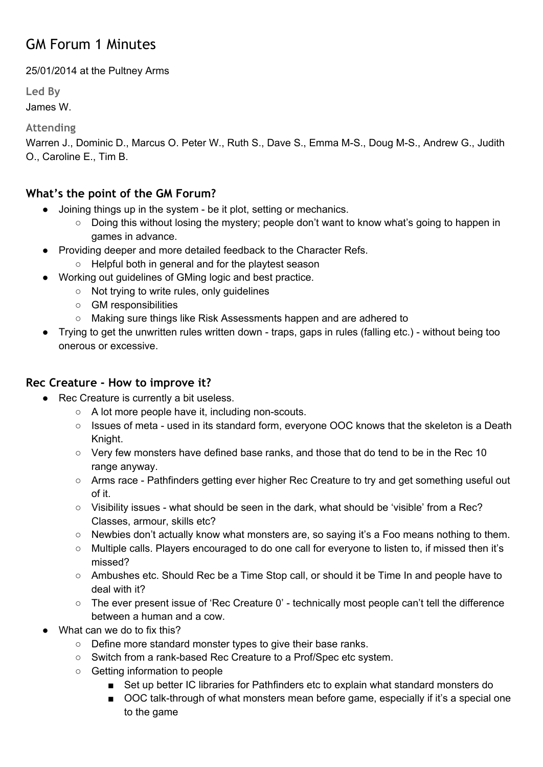# GM Forum 1 Minutes

25/01/2014 at the Pultney Arms

**Led By**

James W.

**Attending**

Warren J., Dominic D., Marcus O. Peter W., Ruth S., Dave S., Emma M-S., Doug M-S., Andrew G., Judith O., Caroline E., Tim B.

## **What's the point of the GM Forum?**

- Joining things up in the system be it plot, setting or mechanics.
	- Doing this without losing the mystery; people don't want to know what's going to happen in games in advance.
- Providing deeper and more detailed feedback to the Character Refs.
	- Helpful both in general and for the playtest season
- Working out guidelines of GMing logic and best practice.
	- Not trying to write rules, only guidelines
	- GM responsibilities
	- Making sure things like Risk Assessments happen and are adhered to
- Trying to get the unwritten rules written down traps, gaps in rules (falling etc.) without being too onerous or excessive.

## **Rec Creature - How to improve it?**

- Rec Creature is currently a bit useless.
	- A lot more people have it, including non-scouts.
	- Issues of meta used in its standard form, everyone OOC knows that the skeleton is a Death Knight.
	- Very few monsters have defined base ranks, and those that do tend to be in the Rec 10 range anyway.
	- Arms race Pathfinders getting ever higher Rec Creature to try and get something useful out of it.
	- Visibility issues what should be seen in the dark, what should be 'visible' from a Rec? Classes, armour, skills etc?
	- Newbies don't actually know what monsters are, so saying it's a Foo means nothing to them.
	- Multiple calls. Players encouraged to do one call for everyone to listen to, if missed then it's missed?
	- Ambushes etc. Should Rec be a Time Stop call, or should it be Time In and people have to deal with it?
	- The ever present issue of 'Rec Creature 0' technically most people can't tell the difference between a human and a cow.
- What can we do to fix this?
	- Define more standard monster types to give their base ranks.
	- Switch from a rank-based Rec Creature to a Prof/Spec etc system.
	- Getting information to people
		- Set up better IC libraries for Pathfinders etc to explain what standard monsters do
		- OOC talk-through of what monsters mean before game, especially if it's a special one to the game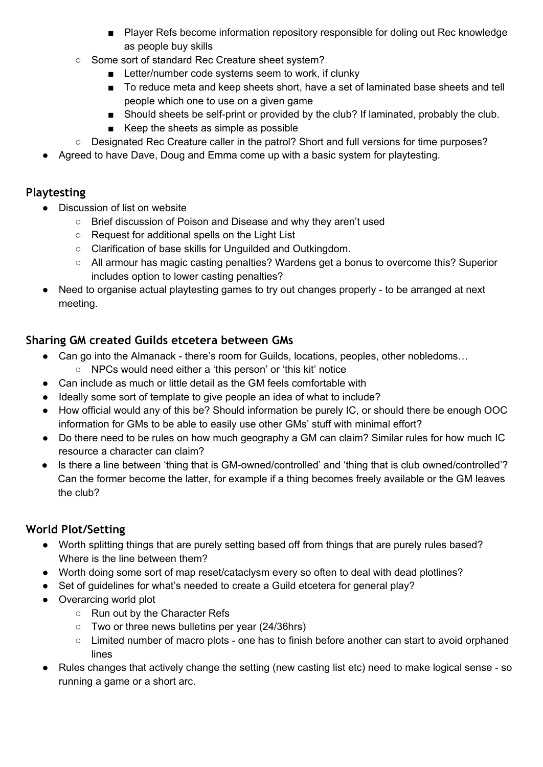- Player Refs become information repository responsible for doling out Rec knowledge as people buy skills
- Some sort of standard Rec Creature sheet system?
	- Letter/number code systems seem to work, if clunky
	- To reduce meta and keep sheets short, have a set of laminated base sheets and tell people which one to use on a given game
	- Should sheets be self-print or provided by the club? If laminated, probably the club.
	- Keep the sheets as simple as possible
- Designated Rec Creature caller in the patrol? Short and full versions for time purposes?
- Agreed to have Dave, Doug and Emma come up with a basic system for playtesting.

## **Playtesting**

- Discussion of list on website
	- Brief discussion of Poison and Disease and why they aren't used
	- Request for additional spells on the Light List
	- Clarification of base skills for Unguilded and Outkingdom.
	- All armour has magic casting penalties? Wardens get a bonus to overcome this? Superior includes option to lower casting penalties?
- Need to organise actual playtesting games to try out changes properly to be arranged at next meeting.

## **Sharing GM created Guilds etcetera between GMs**

- Can go into the Almanack there's room for Guilds, locations, peoples, other nobledoms...
	- NPCs would need either a 'this person' or 'this kit' notice
- Can include as much or little detail as the GM feels comfortable with
- Ideally some sort of template to give people an idea of what to include?
- How official would any of this be? Should information be purely IC, or should there be enough OOC information for GMs to be able to easily use other GMs' stuff with minimal effort?
- Do there need to be rules on how much geography a GM can claim? Similar rules for how much IC resource a character can claim?
- Is there a line between 'thing that is GM-owned/controlled' and 'thing that is club owned/controlled'? Can the former become the latter, for example if a thing becomes freely available or the GM leaves the club?

## **World Plot/Setting**

- Worth splitting things that are purely setting based off from things that are purely rules based? Where is the line between them?
- Worth doing some sort of map reset/cataclysm every so often to deal with dead plotlines?
- Set of quidelines for what's needed to create a Guild etcetera for general play?
- Overarcing world plot
	- Run out by the Character Refs
	- Two or three news bulletins per year (24/36hrs)
	- Limited number of macro plots one has to finish before another can start to avoid orphaned lines
- Rules changes that actively change the setting (new casting list etc) need to make logical sense so running a game or a short arc.